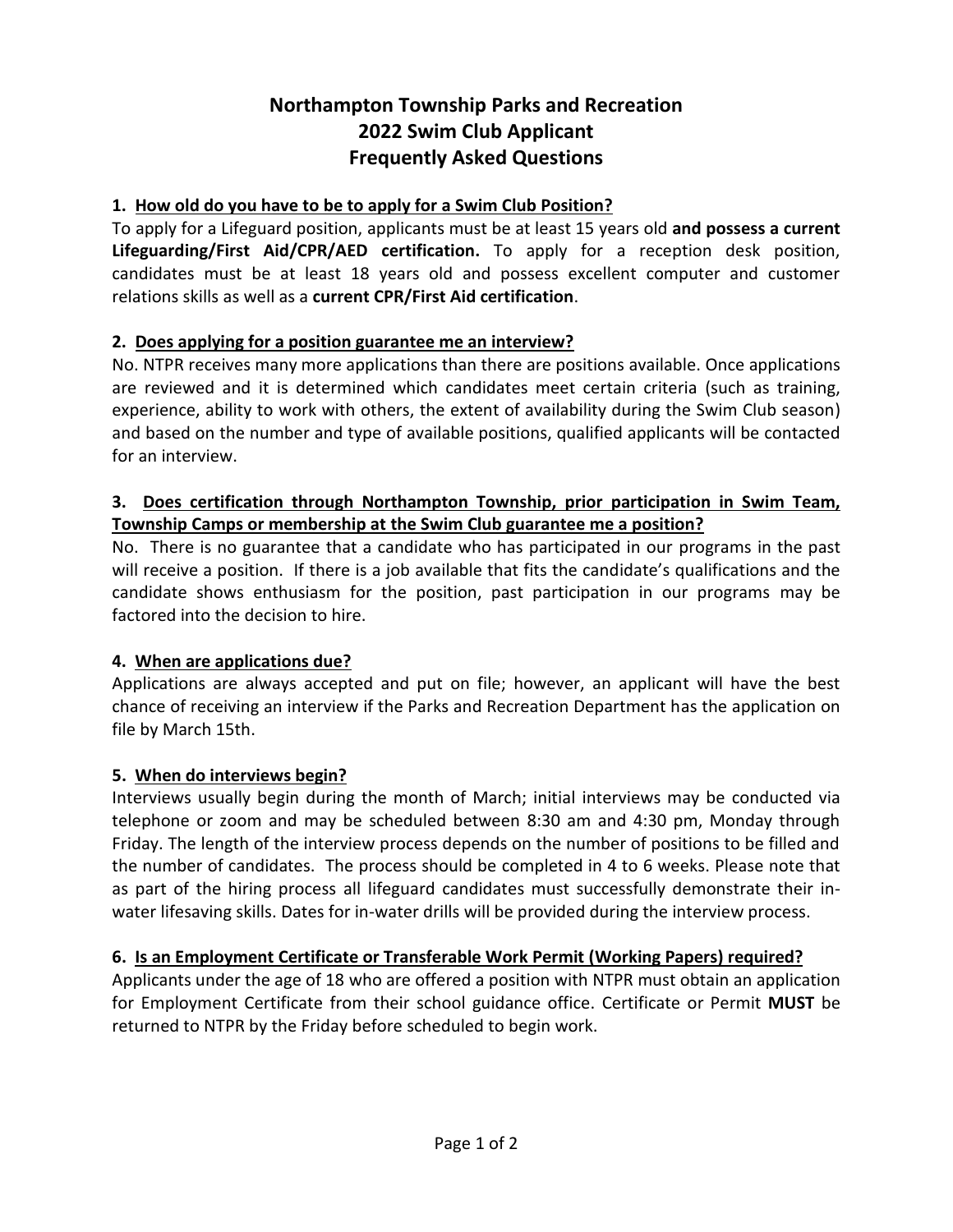# **Northampton Township Parks and Recreation 2022 Swim Club Applicant Frequently Asked Questions**

### **1. How old do you have to be to apply for a Swim Club Position?**

To apply for a Lifeguard position, applicants must be at least 15 years old **and possess a current Lifeguarding/First Aid/CPR/AED certification.** To apply for a reception desk position, candidates must be at least 18 years old and possess excellent computer and customer relations skills as well as a **current CPR/First Aid certification**.

### **2. Does applying for a position guarantee me an interview?**

No. NTPR receives many more applications than there are positions available. Once applications are reviewed and it is determined which candidates meet certain criteria (such as training, experience, ability to work with others, the extent of availability during the Swim Club season) and based on the number and type of available positions, qualified applicants will be contacted for an interview.

# **3. Does certification through Northampton Township, prior participation in Swim Team, Township Camps or membership at the Swim Club guarantee me a position?**

No. There is no guarantee that a candidate who has participated in our programs in the past will receive a position. If there is a job available that fits the candidate's qualifications and the candidate shows enthusiasm for the position, past participation in our programs may be factored into the decision to hire.

### **4. When are applications due?**

Applications are always accepted and put on file; however, an applicant will have the best chance of receiving an interview if the Parks and Recreation Department has the application on file by March 15th.

### **5. When do interviews begin?**

Interviews usually begin during the month of March; initial interviews may be conducted via telephone or zoom and may be scheduled between 8:30 am and 4:30 pm, Monday through Friday. The length of the interview process depends on the number of positions to be filled and the number of candidates. The process should be completed in 4 to 6 weeks. Please note that as part of the hiring process all lifeguard candidates must successfully demonstrate their inwater lifesaving skills. Dates for in-water drills will be provided during the interview process.

# **6. Is an Employment Certificate or Transferable Work Permit (Working Papers) required?**

Applicants under the age of 18 who are offered a position with NTPR must obtain an application for Employment Certificate from their school guidance office. Certificate or Permit **MUST** be returned to NTPR by the Friday before scheduled to begin work.